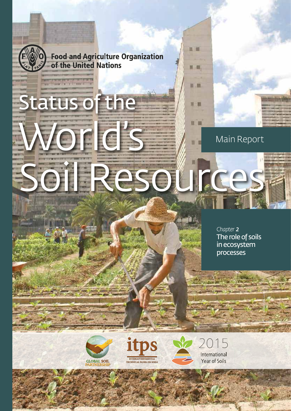

Status of the

**CONTRACTOR** 

World's

## Main Report

Ħ

前面

**S 10** 

11 11

*Chapter 2* The role of soils in ecosystem processes

© FAO | Giuseppe Bizzarri





Soil Resources

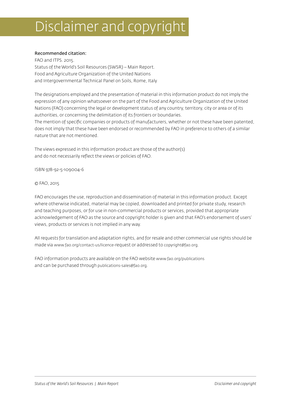## Disclaimer and copyright

#### Recommended citation:

FAO and ITPS. 2015. Status of the World's Soil Resources (SWSR) – Main Report. Food and Agriculture Organization of the United Nations and Intergovernmental Technical Panel on Soils, Rome, Italy

The designations employed and the presentation of material in this information product do not imply the expression of any opinion whatsoever on the part of the Food and Agriculture Organization of the United Nations (FAO) concerning the legal or development status of any country, territory, city or area or of its authorities, or concerning the delimitation of its frontiers or boundaries.

The mention of specific companies or products of manufacturers, whether or not these have been patented, does not imply that these have been endorsed or recommended by FAO in preference to others of a similar nature that are not mentioned.

The views expressed in this information product are those of the author(s) and do not necessarily reflect the views or policies of FAO.

ISBN 978-92-5-109004-6

© FAO, 2015

FAO encourages the use, reproduction and dissemination of material in this information product. Except where otherwise indicated, material may be copied, downloaded and printed for private study, research and teaching purposes, or for use in non-commercial products or services, provided that appropriate acknowledgement of FAO as the source and copyright holder is given and that FAO's endorsement of users' views, products or services is not implied in any way.

All requests for translation and adaptation rights, and for resale and other commercial use rights should be made via www.fao.org/contact-us/licence-request or addressed to copyright@fao.org.

FAO information products are available on the FAO website www.fao.org/publications and can be purchased through publications-sales@fao.org*.*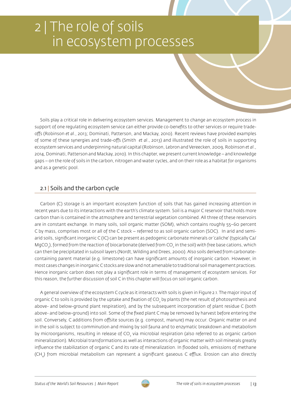# 2 | The role of soils in ecosystem processes

Soils play a critical role in delivering ecosystem services. Management to change an ecosystem process in support of one regulating ecosystem service can either provide co-benefits to other services or require tradeoffs (Robinson *et al*., 2013; Dominati, Patterson, and Mackay, 2010). Recent reviews have provided examples of some of these synergies and trade-offs (Smith *et al*., 2013) and illustrated the role of soils in supporting ecosystem services and underpinning natural capital (Robinson, Lebron and Vereecken, 2009, Robinson *et al*., 2014, Dominati, Patterson and Mackay, 2010). In this chapter, we present current knowledge – and knowledge gaps – on the role of soils in the carbon, nitrogen and water cycles, and on their role as a habitat for organisms and as a genetic pool.

### 2.1 | Soils and the carbon cycle

Carbon (C) storage is an important ecosystem function of soils that has gained increasing attention in recent years due to its interactions with the earth's climate system. Soil is a major C reservoir that holds more carbon than is contained in the atmosphere and terrestrial vegetation combined. All three of these reservoirs are in constant exchange. In many soils, soil organic matter (SOM), which contains roughly 55–60 percent C by mass, comprises most or all of the C stock – referred to as soil organic carbon (SOC). In arid and semiarid soils, significant inorganic C (IC) can be present as pedogenic carbonate minerals or 'caliche' (typically Ca/ MgCO<sub>3</sub>), formed from the reaction of biocarbonate (derived from CO<sub>2</sub> in the soil) with free base cations, which can then be precipitated in subsoil layers (Nordt, Wilding and Drees, 2000). Also soils derived from carbonatecontaining parent material (e.g. limestone) can have significant amounts of inorganic carbon. However, in most cases changes in inorganic C stocks are slow and not amenable to traditional soil management practices. Hence inorganic carbon does not play a significant role in terms of management of ecosystem services. For this reason, the further discussion of soil C in this chapter will focus on soil organic carbon.

A general overview of the ecosystem C cycle as it interacts with soils is given in Figure 2.1. The major input of organic C to soils is provided by the uptake and fixation of CO<sub>2</sub> by plants (the net result of photosynthesis and above- and below-ground plant respiration), and by the subsequent incorporation of plant residue C (both above- and below-ground) into soil. Some of the fixed plant C may be removed by harvest before entering the soil. Conversely, C additions from offsite sources (e.g. compost, manure) may occur. Organic matter on and in the soil is subject to comminution and mixing by soil fauna and to enzymatic breakdown and metabolism by microorganisms, resulting in release of CO $_{_2}$  via microbial respiration (also referred to as organic carbon mineralization). Microbial transformations as well as interactions of organic matter with soil minerals greatly influence the stabilization of organic C and its rate of mineralization. In flooded soils, emissions of methane (CH $_{\!_4}$ ) from microbial metabolism can represent a significant gaseous C efflux. Erosion can also directly

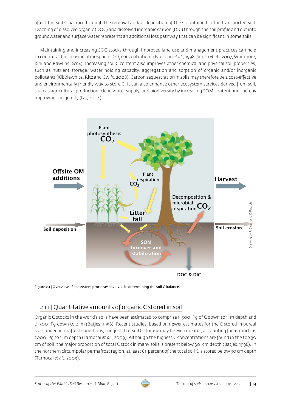affect the soil C balance through the removal and/or deposition of the C contained in the transported soil. Leaching of dissolved organic (DOC) and dissolved inorganic carbon (DIC) through the soil profile and out into groundwater and surface water represents an additional loss pathway that can be significant in some soils.

Maintaining and increasing SOC stocks through improved land use and management practices can help to counteract increasing atmospheric CO<sub>2</sub> concentrations (Paustian *et al.*, 1998, Smith *et al.*, 2007; Whitmore, Kirk and Rawlins, 2014). Increasing soil C content also improves other chemical and physical soil properties, such as nutrient storage, water holding capacity, aggregation and sorption of organic and/or inorganic pollutants (Kibblewhite, Ritz and Swift, 2008). Carbon sequestration in soils may therefore be a cost-effective and environmentally friendly way to store C. It can also enhance other ecosystem services derived from soil, such as agricultural production, clean water supply, and biodiversity by increasing SOM content and thereby improving soil quality (Lal, 2004).



Figure 2.1 | Overview of ecosystem processes involved in determining the soil C balance.

## 2.1.1 | Quantitative amounts of organic C stored in soil

Organic C stocks in the world's soils have been estimated to comprise 1 500 Pg of C down to 1 m depth and 2 500 Pg down to 2 m (Batjes, 1996). Recent studies, based on newer estimates for the C stored in boreal soils under permafrost conditions, suggest that soil C storage may be even greater, accounting for as much as 2000 Pg to 1 m depth (Tarnocai *et al*., 2009). Although the highest C concentrations are found in the top 30 cm of soil, the major proportion of total C stock in many soils is present below 30 cm depth (Batjes, 1996). In the northern circumpolar permafrost region, at least 61 percent of the total soil C is stored below 30 cm depth (Tarnocai *et al*., 2009).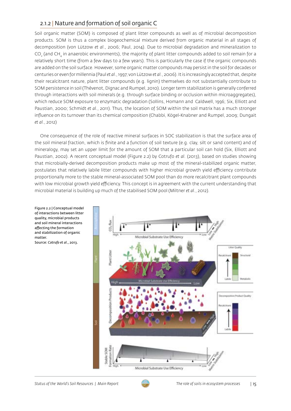#### 2.1.2 | Nature and formation of soil organic C

Soil organic matter (SOM) is composed of plant litter compounds as well as of microbial decomposition products. SOM is thus a complex biogeochemical mixture derived from organic material in all stages of decomposition (von Lützow *et al*., 2006; Paul, 2014). Due to microbial degradation and mineralization to CO $_2$  (and CH $_4$  in anaerobic environments), the majority of plant litter compounds added to soil remain for a relatively short time (from a few days to a few years). This is particularly the case if the organic compounds are added on the soil surface. However, some organic matter compounds may persist in the soil for decades or centuries or even for millennia (Paul *et al*., 1997; von Lützow *et al.*, 2006). It is increasingly accepted that, despite their recalcitrant nature, plant litter compounds (e.g. lignin) themselves do not substantially contribute to SOM persistence in soil (Thévenot, Dignac and Rumpel, 2010). Longer term stabilization is generally conferred through interactions with soil minerals (e.g. through surface binding or occlusion within microaggregates), which reduce SOM exposure to enzymatic degradation (Sollins, Homann and Caldwell, 1996; Six, Elliott and Paustian, 2000; Schmidt *et al.*, 2011). Thus, the location of SOM within the soil matrix has a much stronger influence on its turnover than its chemical composition (Chabbi, Kögel-Knabner and Rumpel, 2009; Dungait *et al.*, 2012)

One consequence of the role of reactive mineral surfaces in SOC stabilization is that the surface area of the soil mineral fraction, which is finite and a function of soil texture (e.g. clay, silt or sand content) and of mineralogy, may set an upper limit for the amount of SOM that a particular soil can hold (Six, Elliott and Paustian, 2002). A recent conceptual model (Figure 2.2) by Cotrufo *et al.* (2013), based on studies showing that microbially-derived decomposition products make up most of the mineral-stabilized organic matter, postulates that relatively labile litter compounds with higher microbial growth yield efficiency contribute proportionally more to the stable mineral-associated SOM pool than do more recalcitrant plant compounds with low microbial growth yield efficiency. This concept is in agreement with the current understanding that microbial material is building up much of the stabilised SOM pool (Miltner *et al.*, 2012).



Figure 2.2 | Conceptual model of interactions between litter quality, microbial products and soil mineral interactions affecting the formation and stabilization of organic matter.

Source: *Cotrufo et al.,* 2013.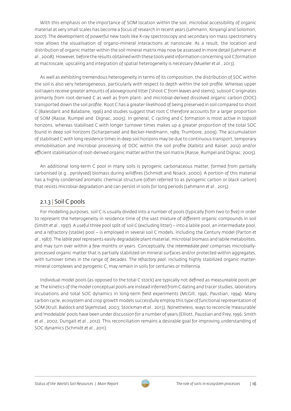With this emphasis on the importance of SOM location within the soil, microbial accessibility of organic material at very small scales has become a focus of research in recent years (Lehmann, Kinyangi and Solomon, 2007). The development of powerful new tools like X-ray spectroscopy and secondary ion mass spectrometry now allows the visualisation of organo-mineral interactions at nanoscale. As a result, the location and distribution of organic matter within the soil mineral matrix may now be assessed in more detail (Lehmann *et al.*, 2008). However, before the results obtained with these tools yield information concerning soil C formation at macroscale, upscaling and integration of spatial heterogeneity is necessary (Mueller *et al.*, 2013).

As well as exhibiting tremendous heterogeneity in terms of its composition, the distribution of SOC within the soil is also very heterogeneous, particularly with respect to depth within the soil profile. Whereas upper soil layers receive greater amounts of aboveground litter ('shoot C' from leaves and stems), subsoil C originates primarily from root-derived C as well as from plant- and microbial-derived dissolved organic carbon (DOC) transported down the soil profile. Root C has a greater likelihood of being preserved in soil compared to shoot C (Balesdant and Balabane, 1996) and studies suggest that root C therefore accounts for a larger proportion of SOM (Rasse, Rumpel and Dignac, 2005). In general, C cycling and C formation is most active in topsoil horizons, whereas stabilised C with longer turnover times makes up a greater proportion of the total SOC found in deep soil horizons (Scharpenseel and Becker-Heidmann, 1989; Trumbore, 2009). The accumulation of stabilised C with long residence times in deep soil horizons may be due to continuous transport, temporary immobilisation and microbial processing of DOC within the soil profile (Kalbitz and Kaiser, 2012) and/or efficient stabilisation of root-derived organic matter within the soil matrix (Rasse, Rumpel and Dignac, 2005).

An additional long-term C pool in many soils is pyrogenic carbonaceous matter, formed from partially carbonised (e.g., pyrolysed) biomass during wildfires (Schmidt and Noack, 2000). A portion of this material has a highly condensed aromatic chemical structure (often referred to as pyrogenic carbon or black carbon) that resists microbial degradation and can persist in soils for long periods (Lehmann *et al.*, 2015).

#### 2.1.3 | Soil C pools

For modelling purposes, soil C is usually divided into a number of pools (typically from two to five) in order to represent the heterogeneity in residence time of the vast mixture of different organic compounds in soil (Smith *et al.*, 1997). A useful three pool split of soil C (excluding litter) – into a labile pool, an intermediate pool, and a refractory (stable) pool – is employed in several soil C models, including the Century model (Parton *et al.*, 1987). The *labile pool* represents easily degradable plant material, microbial biomass and labile metabolites, and may turn over within a few months or years. Conceptually, the *intermediate pool* comprises microbiallyprocessed organic matter that is partially stabilized on mineral surfaces and/or protected within aggregates, with turnover times in the range of decades. The *refractory pool*, including highly stabilized organic mattermineral complexes and pyrogenic C, may remain in soils for centuries or millennia.

Individual model pools (as opposed to the total C stock) are typically not defined as measureable pools *per se*. The kinetics of the model conceptual pools are instead inferred from C dating and tracer studies, laboratory incubations and total SOC dynamics in long-term field experiments (McGill, 1996; Paustian, 1994). Many carbon cycle, ecosystem and crop growth models successfully employ this type of functional representation of SOM (Krull, Baldock and Skjemstad, 2003; Stockman *et al.*, 2013). Nonetheless, ways to reconcile 'measurable' and 'modelable' pools have been under discussion for a number of years (Elliott, Paustian and Frey, 1996; Smith *et al.*, 2002; Dungait *et al.*, 2012). This reconciliation remains a desirable goal for improving understanding of SOC dynamics (Schmidt *et al.*, 2011).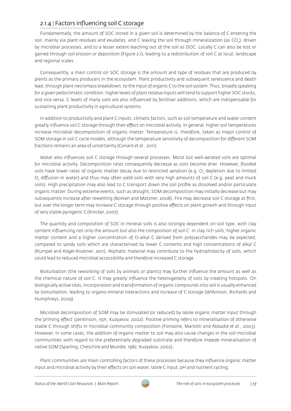## 2.1.4 | Factors influencing soil C storage

Fundamentally, the amount of SOC stored in a given soil is determined by the balance of C entering the soil, mainly via plant residues and exudates, and C leaving the soil through mineralization (as CO<sub>2</sub>), driven by microbial processes, and to a lesser extent leaching out of the soil as DOC. Locally C can also be lost or gained through soil erosion or deposition (Figure 2.1), leading to a redistribution of soil C at local, landscape and regional scales.

Consequently, a main control on SOC storage is the amount and type of residues that are produced by plants as the primary producers in the ecosystem. Plant productivity and subsequent senescence and death lead, through plant necromass breakdown, to the input of organic C to the soil system. Thus, broadly speaking for a given pedoclimatic condition, higher levels of plant residue inputs will tend to support higher SOC stocks, and vice versa. C levels of many soils are also influenced by fertiliser additions, which are indispensable for sustaining plant productivity in agricultural systems.

In addition to productivity and plant C inputs, climatic factors, such as soil temperature and water content greatly influence soil C storage through their effect on microbial activity. In general, higher soil temperatures increase microbial decomposition of organic matter. Temperature is, therefore, taken as major control of SOM storage in soil C cycle models, although the temperature sensitivity of decomposition for different SOM fractions remains an area of uncertainty (Conant *et al.*, 2011).

Water also influences soil C storage through several processes. Moist but well-aerated soils are optimal for microbial activity. Decomposition rates consequently decrease as soils become drier. However, flooded soils have lower rates of organic matter decay due to restricted aeration (e.g.  $\mathrm{O}_\mathrm{2}$  depletion due to limited  $\rm O_{2}$  diffusion in water) and thus may often yield soils with very high amounts of soil C (e.g. peat and muck soils). High precipitation may also lead to C transport down the soil profile as dissolved and/or particulate organic matter. During extreme events, such as drought, SOM decomposition may initially decrease but may subsequently increase after rewetting (Borken and Matzner, 2008). Fire may decrease soil C storage at first, but over the longer term may increase C storage through positive effects on plant growth and through input of very stable pyrogenic C (Knicker, 2007).

The quantity and composition of SOC in mineral soils is also strongly dependent on soil type, with clay content influencing not only the amount but also the composition of soil C. In clay rich soils, higher organic matter content and a higher concentration of O-alkyl C derived from polysaccharides may be expected, compared to sandy soils which are characterised by lower C contents and high concentrations of alkyl C (Rumpel and Kögel-Knabner, 2011). Aliphatic material may contribute to the hydrophobicity of soils, which could lead to reduced microbial accessibility and therefore increased C storage.

Bioturbation (the reworking of soils by animals or plants) may further influence the amount as well as the chemical nature of soil C. It may greatly influence the heterogeneity of soils by creating hotspots. On biologically active sites, incorporation and transformation of organic compounds into soil is usually enhanced by bioturbation, leading to organo-mineral interactions and increase of C storage (Wilkinson, Richards and Humphreys, 2009).

Microbial decomposition of SOM may be stimulated (or reduced) by labile organic matter input through the 'priming effect' (Jenkinson, 1971; Kuzyakov, 2002). Positive priming refers to mineralisation of otherwise stable C through shifts in microbial community composition (Fontaine, Mariotti and Abbadie *et al.*, 2003). However, in some cases, the addition of organic matter to soil may also cause changes in the soil microbial communities with regard to the preferentially degraded substrate and therefore impede mineralisation of native SOM (Sparling, Cheschire and Mundie, 1982; Kuzyakov, 2002).

Plant communities are main controlling factors of these processes because they influence organic matter input and microbial activity by their effects on soil water, labile C input, pH and nutrient cycling.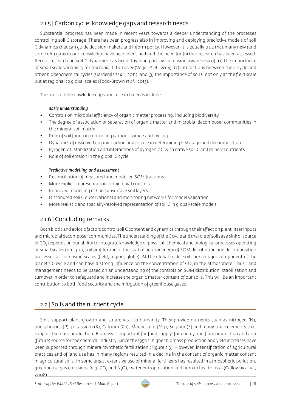## 2.1.5 | Carbon cycle: knowledge gaps and research needs

Substantial progress has been made in recent years towards a deeper understanding of the processes controlling soil C storage. There has been progress also in improving and deploying predictive models of soil C dynamics that can guide decision makers and inform policy. However, it is equally true that many new (and some old) gaps in our knowledge have been identified and the need for further research has been assessed. Recent research on soil C dynamics has been driven in part by increasing awareness of: (1) the importance of small scale variability for microbial C turnover (Vogel *et al.*, 2014); (2) interactions between the C cycle and other biogeochemical cycles (Gärdenäs *et al.*, 2011); and (3) the importance of soil C not only at the field scale but at regional to global scales (Todd-Brown *et al.*, 2013).

The most cited knowledge gaps and research needs include:

#### *Basic understanding*

- Controls on microbial efficiency of organic matter processing, including biodiversity
- The degree of association or separation of organic matter and microbial decomposer communities in the mineral soil matrix
- Role of soil fauna in controlling carbon storage and cycling
- Dynamics of dissolved organic carbon and its role in determining C storage and decomposition
- Pyrogenic C stabilization and interactions of pyrogenic C with native soil C and mineral nutrients
- Role of soil erosion in the global C cycle

#### *Predictive modelling and assessment*

- Reconciliation of measured and modelled SOM fractions
- More explicit representation of microbial controls
- Improved modelling of C in subsurface soil layers
- Distributed soil C observational and monitoring networks for model validation
- More realistic and spatially-resolved representation of soil C in global-scale models

## 2.1.6 | Concluding remarks

Both biotic and abiotic factors control soil C content and dynamics through their effect on plant litter inputs and microbial decomposer communities. The understanding of the C cycle and the role of soils as a sink or source of CO<sub>2</sub> depends on our ability to integrate knowledge of physical, chemical and biological processes operating at small scales (nm, µm, soil profile) and of the spatial heterogeneity of SOM distribution and decomposition processes at increasing scales (field, region, globe). At the global scale, soils are a major component of the planet's C cycle and can have a strong influence on the concentration of CO<sub>2</sub> in the atmosphere. Thus, land management needs to be based on an understanding of the controls on SOM distribution, stabilisation and turnover in order to safeguard and increase the organic matter content of our soils. This will be an important contribution to both food security and the mitigation of greenhouse gases.

## 2.2 | Soils and the nutrient cycle

Soils support plant growth and so are vital to humanity. They provide nutrients such as nitrogen (N), phosphorous (P), potassium (K), Calcium (Ca), Magnesium (Mg), Sulphur (S) and many trace elements that support biomass production. Biomass is important for food supply, for energy and fibre production and as a (future) source for the chemical industry. Since the 1950s, higher biomass production and yield increases have been supported through mineral/synthetic fertilization (Figure 2.3). However, intensification of agricultural practices and of land use has in many regions resulted in a decline in the content of organic matter content in agricultural soils. In some areas, extensive use of mineral fertilizers has resulted in atmospheric pollution, greenhouse gas emissions (e.g. CO<sub>2</sub> and N<sub>2</sub>O), water eutrophication and human health risks (Galloway *et al.*, 2008).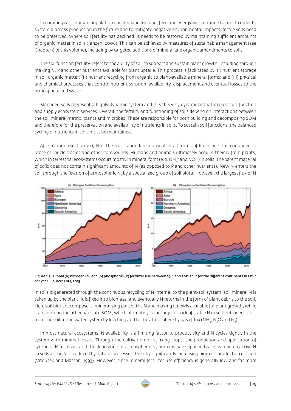In coming years, human population and demand for food, feed and energy will continue to rise. In order to sustain biomass production in the future and to mitigate negative environmental impacts, fertile soils need to be preserved. Where soil fertility has declined, it needs to be restored by maintaining sufficient amounts of organic matter in soils (Janzen, 2006). This can be achieved by measures of sustainable management (see Chapter 8 of this volume), including by targeted additions of mineral and organic amendments to soils.

The soil function 'fertility' refers to the ability of soil to support and sustain plant growth, including through making N, P and other nutrients available for plant uptake. This process is facilitated by: (I) nutrient storage in soil organic matter; (II) nutrient recycling from organic to plant-available mineral forms; and (III) physical and chemical processes that control nutrient sorption, availability, displacement and eventual losses to the atmosphere and water.

Managed soils represent a highly dynamic system and it is this very dynamism that makes soils function and supply ecosystem services. Overall, the fertility and functioning of soils depend on interactions between the soil mineral matrix, plants and microbes. These are responsible for both building and decomposing SOM and therefore for the preservation and availability of nutrients in soils. To sustain soil functions, the balanced cycling of nutrients in soils must be maintained.

After carbon (Section 2.1), N is the most abundant nutrient in all forms of life, since it is contained in proteins, nucleic acids and other compounds. Humans and animals ultimately acquire their N from plants, which in terrestrial ecosystems occurs mostly in mineral form (e.g. NH $_4^{\,*}$  and NO $_3^{\,-}$ ) in soils. The parent material of soils does not contain significant amounts of N (as opposed to P and other nutrients). New N enters the soil through the fixation of atmospheric N<sub>2</sub> by a specialized group of soil biota. However, the largest flux of N



Figure 2.3 | Global (a) nitrogen (N) and (b) phosphorus (P) fertilizer use between 1961 and 2012 split for the different continents in Mt P per year. Source: FAO, 2015.

in soils is generated through the continuous recycling of N internal to the plant-soil system: soil mineral N is taken up by the plant, it is fixed into biomass, and eventually N returns in the form of plant debris to the soil. Here soil biota decompose it, mineralizing part of the N and making it newly available for plant growth, while transforming the other part into SOM, which ultimately is the largest stock of stable N in soil. Nitrogen is lost from the soil to the water system by leaching and to the atmosphere by gas efflux (NH<sub>3</sub>, N<sub>2</sub>O and N<sub>2</sub>).

In most natural ecosystems, N availability is a limiting factor to productivity and N cycles tightly in the system with minimal losses. Through the cultivation of  $\mathsf{N}__2$  fixing crops, the production and application of synthetic N fertilizer, and the deposition of atmospheric N, humans have applied twice as much reactive N to soils as the N introduced by natural processes, thereby significantly increasing biomass production on land (Vitousek and Matson, 1993). However, since mineral fertilizer use efficiency is generally low and far more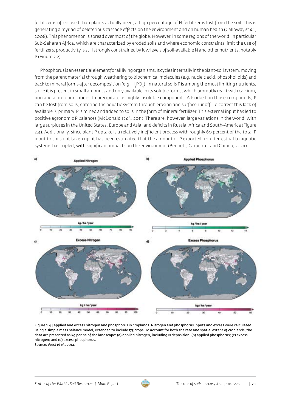fertilizer is often used than plants actually need, a high percentage of N fertilizer is lost from the soil. This is generating a myriad of deleterious cascade effects on the environment and on human health (Galloway *et al.*, 2008). This phenomenon is spread over most of the globe. However, in some regions of the world, in particular Sub-Saharan Africa, which are characterized by eroded soils and where economic constraints limit the use of fertilizers, productivity is still strongly constrained by low levels of soil-available N and other nutrients, notably P (Figure 2.2).

Phosphorus is an essential element for all living organisms. It cycles internally in the plant-soil system, moving from the parent material through weathering to biochemical molecules (e.g. nucleic acid, phospholipids) and back to mineral forms after decomposition (e.g. H<sub>3</sub>PO<sub>4</sub>). In natural soils P is among the most limiting nutrients, since it is present in small amounts and only available in its soluble forms, which promptly react with calcium, iron and aluminum cations to precipitate as highly insoluble compounds. Adsorbed on those compounds, P can be lost from soils, entering the aquatic system through erosion and surface runoff. To correct this lack of available P, 'primary' P is mined and added to soils in the form of mineral fertilizer. This external input has led to positive agronomic P balances (McDonald *et al.*, 2011). There are, however, large variations in the world, with large surpluses in the United States, Europe and Asia, and deficits in Russia, Africa and South-America (Figure 2.4). Additionally, since plant P uptake is a relatively inefficient process with roughly 60 percent of the total P input to soils not taken up, it has been estimated that the amount of P exported from terrestrial to aquatic systems has tripled, with significant impacts on the environment (Bennett, Carpenter and Caraco, 2001).



Figure 2.4 | Applied and excess nitrogen and phosphorus in croplands. Nitrogen and phosphorus inputs and excess were calculated using a simple mass balance model, extended to include 175 crops. To account for both the rate and spatial extent of croplands, the data are presented as kg per ha of the landscape: (a) applied nitrogen, including N deposition; (b) applied phosphorus; (c) excess nitrogen; and (d) excess phosphorus. Source: West *et al.*, 2014.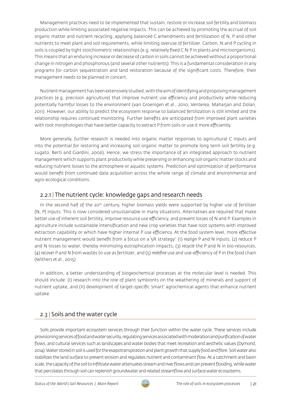Management practices need to be implemented that sustain, restore or increase soil fertility and biomass production while limiting associated negative impacts. This can be achieved by promoting the accrual of soil organic matter and nutrient recycling, applying balanced C amendments and fertilization of N, P and other nutrients to meet plant and soil requirements, while limiting overuse of fertilizer. Carbon, N and P cycling in soils is coupled by tight stoichiometric relationships (e.g. relatively fixed C:N:P in plants and microorganisms). This means that an enduring increase or decrease of carbon in soils cannot be achieved without a proportional change in nitrogen and phosphorous (and several other nutrients). This is a fundamental consideration in any programs for carbon sequestration and land restoration because of the significant costs. Therefore, their management needs to be planned in concert.

Nutrient management has been extensively studied, with the aim of identifying and proposing management practices (e.g. precision agriculture) that improve nutrient use efficiency and productivity while reducing potentially harmful losses to the environment (van Groenigen *et al.*, 2010; Venterea, Maharjan and Dolan, 2011). However, our ability to predict the ecosystem response to balanced fertilization is still limited and the relationship requires continued monitoring. Further benefits are anticipated from improved plant varieties with root morphologies that have better capacity to extract P from soils or use it more efficiently.

More generally, further research is needed into organic matter responses to agricultural C inputs and into the potential for restoring and increasing soil organic matter to promote long term soil fertility (e.g. Lugato, Berti and Giardini, 2006). Hence, we stress the importance of an integrated approach to nutrient management which supports plant productivity while preserving or enhancing soil organic matter stocks and reducing nutrient losses to the atmosphere or aquatic systems. Prediction and optimization of performance would benefit from continued data acquisition across the whole range of climate and environmental and agro-ecological conditions.

### 2.2.1 The nutrient cycle: knowledge gaps and research needs

In the second half of the 20<sup>th</sup> century, higher biomass yields were supported by higher use of fertilizer (N, P) inputs. This is now considered unsustainable in many situations. Alternatives are required that make better use of inherent soil fertility, improve resource use efficiency, and prevent losses of N and P. Examples in agriculture include sustainable intensification and new crop varieties that have root systems with improved extraction capability or which have higher internal P use efficiency. At the food system level, more effective nutrient management would benefit from a focus on a '5R strategy': (1) *realign* P and N inputs; (2) reduce P and N losses to water, thereby minimizing eutrophication impacts; (3) *recycle* the P and N in bio-resources; (4) *recover* P and N from wastes to use as fertilizer; and (5) *redefine* use and use-efficiency of P in the food chain (Withers *et al.*, 2015).

In addition, a better understanding of biogeochemical processes at the molecular level is needed. This should include: (I) research into the role of plant symbionts on the weathering of minerals and support of nutrient uptake, and (II) development of target-specific 'smart' agrochemical agents that enhance nutrient uptake.

## 2.3 | Soils and the water cycle

Soils provide important ecosystem services through their function within the water cycle. These services include provisioning services of food and water security, regulating services associated with moderation and purification of water flows, and cultural services such as landscapes and water bodies that meet recreation and aesthetic values (Dymond, 2014). Water stored in soil is used for the evapotranspiration and plant growth that supply food and fibre. Soil water also stabilizes the land surface to prevent erosion and regulates nutrient and contaminant flow. At a catchment and basin scale, the capacity of the soil to infiltrate water attenuates stream and river flows and can prevent flooding, while water that percolates through soil can replenish groundwater and related streamflow and surface water ecosystems.

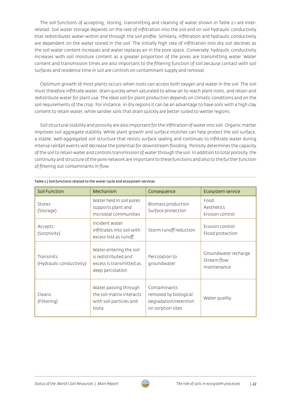The soil functions of accepting, storing, transmitting and cleaning of water shown in Table 2.1 are interrelated. Soil water storage depends on the rate of infiltration into the soil and on soil hydraulic conductivity that redistributes water within and through the soil profile. Similarly, infiltration and hydraulic conductivity are dependent on the water stored in the soil. The initially high rate of infiltration into dry soil declines as the soil water content increases and water replaces air in the pore space. Conversely, hydraulic conductivity increases with soil moisture content as a greater proportion of the pores are transmitting water. Water content and transmission times are also important to the filtering function of soil because contact with soil surfaces and residence time in soil are controls on contaminant supply and removal.

Optimum growth of most plants occurs when roots can access both oxygen and water in the soil. The soil must therefore infiltrate water, drain quickly when saturated to allow air to reach plant roots, and retain and redistribute water for plant use. The ideal soil for plant production depends on climatic conditions and on the soil requirements of the crop. For instance, in dry regions it can be an advantage to have soils with a high clay content to retain water, while sandier soils that drain quickly are better suited to wetter regions.

Soil structural stability and porosity are also important for the infiltration of water into soil. Organic matter improves soil aggregate stability. While plant growth and surface mulches can help protect the soil surface, a stable, well-aggregated soil structure that resists surface sealing and continues to infiltrate water during intense rainfall events will decrease the potential for downstream flooding. Porosity determines the capacity of the soil to retain water and controls transmission of water through the soil. In addition to total porosity, the continuity and structure of the pore network are important to these functions and also to the further function of filtering out contaminants in flow.

| <b>Soil Function</b>                  | Mechanism                                                                                       | Consequence                                                                         | Ecosystem service                                  |
|---------------------------------------|-------------------------------------------------------------------------------------------------|-------------------------------------------------------------------------------------|----------------------------------------------------|
| Stores<br>(Storage)                   | Water held in soil pores<br>supports plant and<br>microbial communities                         | Biomass production<br>Surface protection                                            | Food<br>Aesthetics<br>Erosion control              |
| Accepts<br>(Sorptivity)               | Incident water<br>infiltrates into soil with<br>excess lost as runoff                           | Storm runoff reduction                                                              | Erosion control<br>Flood protection                |
| Transmits<br>(Hydraulic conductivity) | Water entering the soil<br>is redistributed and<br>excess is transmitted as<br>deep percolation | Percolation to<br>groundwater                                                       | Groundwater recharge<br>Stream flow<br>maintenance |
| Cleans<br>(Filtering)                 | Water passing through<br>the soil matrix interacts<br>with soil particles and<br>biota          | Contaminants<br>removed by biological<br>degradation/retention<br>on sorption sites | Water quality                                      |

Table 2 | Soil functions related to the water cycle and ecosystem services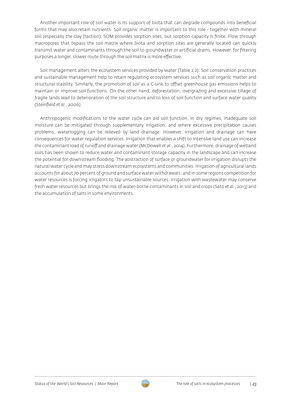Another important role of soil water is its support of biota that can degrade compounds into beneficial forms that may also retain nutrients. Soil organic matter is important to this role - together with mineral soil (especially the clay fraction), SOM provides sorption sites, but sorption capacity is finite. Flow through macropores that bypass the soil matrix where biota and sorption sites are generally located can quickly transmit water and contaminants through the soil to groundwater or artificial drains. However, for filtering purposes a longer, slower route through the soil matrix is more effective.

Soil management alters the ecosystem services provided by water (Table 2.2). Soil conservation practices and sustainable management help to retain regulating ecosystem services such as soil organic matter and structural stability. Similarly, the promotion of soil as a C-sink to offset greenhouse gas emissions helps to maintain or improve soil functions. On the other hand, deforestation, overgrazing and excessive tillage of fragile lands lead to deterioration of the soil structure and to loss of soil function and surface water quality (Steinfield *et al.*, 2006).

Anthropogenic modifications to the water cycle can aid soil function. In dry regimes, inadequate soil moisture can be mitigated through supplementary irrigation, and where excessive precipitation causes problems, waterlogging can be relieved by land drainage. However, irrigation and drainage can have consequences for water regulation services. Irrigation that enables a shift to intensive land use can increase the contaminant load of runoff and drainage water (McDowell *et al.*, 2014). Furthermore, drainage of wetland soils has been shown to reduce water and contaminant storage capacity in the landscape and can increase the potential for downstream flooding. The abstraction of surface or groundwater for irrigation disrupts the natural water cycle and may stress downstream ecosystems and communities. Irrigation of agricultural lands accounts for about 70 percent of ground and surface water withdrawals, and in some regions competition for water resources is forcing irrigators to tap unsustainable sources. Irrigation with wastewater may conserve fresh water resources but brings the risk of water-borne contaminants in soil and crops (Sato *et al.*, 2013) and the accumulation of salts in some environments.

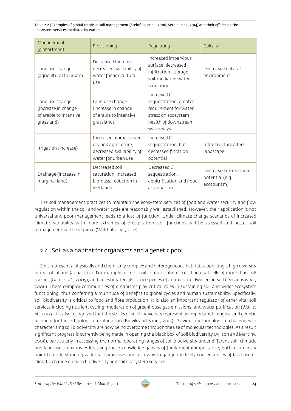Table 2.2 | Examples of global trends in soil management (Steinfield et al., 2006; Setälä et al., 2014) and their effects on the ecosystem services mediated by water.

| Management<br>(global trend)                                                   | Provisioning                                                                                       | Regulating                                                                                                                  | Cultural                                                 |
|--------------------------------------------------------------------------------|----------------------------------------------------------------------------------------------------|-----------------------------------------------------------------------------------------------------------------------------|----------------------------------------------------------|
| Land use change<br>(agricultural to urban)                                     | Decreased biomass,<br>decreased availability of<br>water for agricultural<br>use                   | Increased impervious<br>surface, decreased<br>infiltration, storage,<br>soil-mediated water<br>regulation                   | Decreased natural<br>environment                         |
| Land use change<br>(increase in change<br>of arable to intensive<br>grassland) | Land use change<br>(increase in change<br>of arable to intensive<br>qrassland)                     | Increased C<br>sequestration, greater<br>requirement for water,<br>stress on ecosystem<br>health of downstream<br>waterways |                                                          |
| Irrigation (increase)                                                          | Increased biomass over<br>dryland agriculture,<br>decreased availability of<br>water for urban use | Increased $\Gamma$<br>sequestration, but<br>decreased filtration<br>potential                                               | Infrastructure alters<br>landscape                       |
| Drainage (increase in<br>marginal land)                                        | Decreased soil<br>saturation, increased<br>biomass, reduction in<br>wetlands                       | Decreased C<br>sequestration,<br>denitrification and flood<br>attenuation                                                   | Decreased recreational<br>potential (e.g.<br>ecotourism) |

The soil management practices to maintain the ecosystem services of food and water security and flow regulation within the soil and water cycle are reasonably well established. However, their application is not universal and poor management leads to a loss of function. Under climate change scenarios of increased climatic variability with more extremes of precipitation, soil functions will be stressed and better soil management will be required (Walthall *et al.*, 2012).

## 2.4 | Soil as a habitat for organisms and a genetic pool

Soils represent a physically and chemically complex and heterogeneous habitat supporting a high diversity of microbial and faunal taxa. For example, 10 g of soil contains about 1010 bacterial cells of more than 106 species (Gans *et al.*, 2005), and an estimated 360 000 species of animals are dwellers in soil (Decaëns *et al.*, 2006). These complex communities of organisms play critical roles in sustaining soil and wider ecosystem functioning, thus conferring a multitude of benefits to global cycles and human sustainability. Specifically, soil biodiversity is critical to food and fibre production. It is also an important regulator of other vital soil services including nutrient cycling, moderation of greenhouse gas emissions, and water purification (Wall *et al.*, 2012). It is also recognized that the stocks of soil biodiversity represent an important biological and genetic resource for biotechnological exploitation (Brevik and Sauer, 2015). Previous methodological challenges in characterizing soil biodiversity are now being overcome through the use of molecular technologies. As a result significant progress is currently being made in opening the 'black box' of soil biodiversity (Allison and Martiny, 2008), particularly in assessing the normal operating ranges of soil biodiversity under different soil, climatic and land use scenarios. Addressing these knowledge gaps is of fundamental importance, both as an entry point to understanding wider soil processes and as a way to gauge the likely consequences of land use or climatic change on both biodiversity and soil ecosystem services.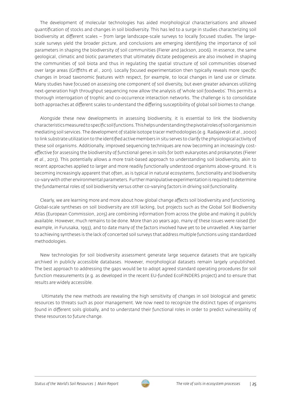The development of molecular technologies has aided morphological characterisations and allowed quantification of stocks and changes in soil biodiversity. This has led to a surge in studies characterizing soil biodiversity at different scales – from large landscape-scale surveys to locally focused studies. The largescale surveys yield the broader picture, and conclusions are emerging identifying the importance of soil parameters in shaping the biodiversity of soil communities (Fierer and Jackson, 2006). In essence, the same geological, climatic and biotic parameters that ultimately dictate pedogenesis are also involved in shaping the communities of soil biota and thus in regulating the spatial structure of soil communities observed over large areas (Griffiths *et al.*, 2011). Locally focused experimentation then typically reveals more specific changes in broad taxonomic features with respect, for example, to local changes in land use or climate. Many studies have focused on assessing one component of soil diversity, but even greater advances utilizing next-generation high throughput sequencing now allow the analysis of 'whole soil foodwebs'. This permits a thorough interrogation of trophic and co-occurrence interaction networks. The challenge is to consolidate both approaches at different scales to understand the differing susceptibility of global soil biomes to change.

Alongside these new developments in assessing biodiversity, it is essential to link the biodiversity characteristics measured to specific soil functions. This helps understanding the pivotal roles of soil organisms in mediating soil services. The development of stable isotope tracer methodologies (e.g. Radajewski *et al.*, 2000) to link substrate utilization to the identified active members in situ serves to clarify the physiological activity of these soil organisms. Additionally, improved sequencing techniques are now becoming an increasingly costeffective for assessing the biodiversity of functional genes in soils for both eukaryotes and prokaryotes (Fierer *et al.*, 2013). This potentially allows a more trait-based approach to understanding soil biodiversity, akin to recent approaches applied to larger and more readily functionally understood organisms above-ground. It is becoming increasingly apparent that often, as is typical in natural ecosystems, functionality and biodiversity co-vary with other environmental parameters. Further manipulative experimentation is required to determine the fundamental roles of soil biodiversity versus other co-varying factors in driving soil functionality.

Clearly, we are learning more and more about how global change affects soil biodiversity and functioning. Global-scale syntheses on soil biodiversity are still lacking, but projects such as the Global Soil Biodiversity Atlas (European Commission, 2015) are combining information from across the globe and making it publicly available. However, much remains to be done. More than 20 years ago, many of these issues were raised (for example, in Furusaka, 1993), and to date many of the factors involved have yet to be unravelled. A key barrier to achieving syntheses is the lack of concerted soil surveys that address multiple functions using standardized methodologies.

New technologies for soil biodiversity assessment generate large sequence datasets that are typically archived in publicly accessible databases. However, morphological datasets remain largely unpublished. The best approach to addressing the gaps would be to adopt agreed standard operating procedures for soil function measurements (e.g. as developed in the recent EU-funded EcoFINDERS project) and to ensure that results are widely accessible.

 Ultimately the new methods are revealing the high sensitivity of changes in soil biological and genetic resources to threats such as poor management. We now need to recognize the distinct types of organisms found in different soils globally, and to understand their functional roles in order to predict vulnerability of these resources to future change.

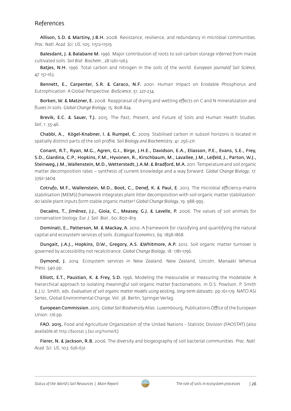#### References

Allison, S.D. & Martiny, J.B.H. 2008. Resistance, resilience, and redundancy in microbial communities. *Proc. Natl. Acad. Sci. US*, 105: 11512-11519.

Balesdant, J. & Balabane M. 1996. Major contribution of roots to soil carbon storage inferred from maize cultivated soils. *Soil Biol. Biochem*., 28:1261-1263.

Batjes, N.H. 1996. Total carbon and nitrogen in the soils of the world. *European Journalof Soil Science*, 47: 151-163.

Bennett, E., Carpenter, S.R. & Caraco, N.F. 2001. Human Impact on Erodable Phosphorus and Eutrophication: A Global Perspective. *BioScience*, 51: 227-234.

Borken, W. & Matzner, E. 2008. Reappraisal of drying and wetting effects on C and N mineralization and fluxes in soils. *Global Change Biology*, 15: 808-824.

Brevik, E.C. & Sauer, T.J. 2015. The Past, Present, and Future of Soils and Human Health Studies. *Soil*, 1: 35-46.

Chabbi, A., Kögel-Knabner, I. & Rumpel, C. 2009. Stabilised carbon in subsoil horizons is located in spatially distinct parts of the soil profile. *Soil Biology and Biochemistry*, 41: 256-271.

Conant, R.T., Ryan, M.G., Agren, G.I., Birge, J.H.E., Davidson, E.A., Eliasson, P.E., Evans, S.E., Frey, S.D., Giardina, C.P., Hopkins, F.M., Hyvonen, R., Kirschbaum, M., Lavallee, J.M., Leifeld, J., Parton, W.J., Steinweg, J.M., Wallenstein, M.D., Wetterstedt, J.A.M. & Bradford, M.A. 2011. Temperature and soil organic matter decomposition rates – synthesis of current knowledge and a way forward. *Global Change Biology*, 17: 3392-3404.

Cotrufo, M.F., Wallenstein, M.D., Boot, C., Denef, K. & Paul, E. 2013. The microbial efficiency-matrix stabilisation (MEMS) framework integrates plant litter decomposition with soil organic matter stabilization: do labile plant inputs form stable organic matter? *Global Change Biology*, 19: 988-995.

Decaëns, T., Jiménez, J.J., Gioia, C., Measey, G.J. & Lavelle, P. 2006. The values of soil animals for conservation biology. *Eur. J. Soil. Biol*., 60: 807–819.

Dominati, E., Patterson, M. & Mackay, A. 2010. A framework for classifying and quantifying the natural capital and ecosystem services of soils. *Ecological Economics*, 69: 1858-1868.

Dungait, J.A.J., Hopkins, D.W., Gregory, A.S. &Whitmore, A.P. 2012. Soil organic matter turnover is governed by accessibility not recalcitrance. *Global Change Biology*, 18: 1781-1796.

Dymond, J. 2014. Ecosystem services in New Zealand. New Zealand, Lincoln, Manaaki Whenua Press. 540 pp.

Elliott, E.T., Paustian, K. & Frey, S.D. 1996. Modeling the measurable or measuring the modelable: A hierarchical approach to isolating meaningful soil organic matter fractionations. In D.S. Powlson, P. Smith & J.U. Smith, eds. *Evaluation of soil organic matter models using existing, long-term datasets*. pp.161-179. NATO ASI Series, Global Environmental Change. Vol. 38. Berlin, Springer Verlag.

European Commission. 2015. *Global Soil Biodiversity Atlas*. Luxembourg, Publications Office of the European Union. 176 pp.

FAO. 2015. Food and Agriculture Organization of the United Nations - Statistic Division (FAOSTAT) (also available at [http://faostat 3.fao.org/home/E](http://faostat3.fao.org/home/E))

Fierer, N. & Jackson, R.B. 2006. The diversity and biogeography of soil bacterial communities. *Proc. Natl. Acad. Sci. US*, 103: 626-631.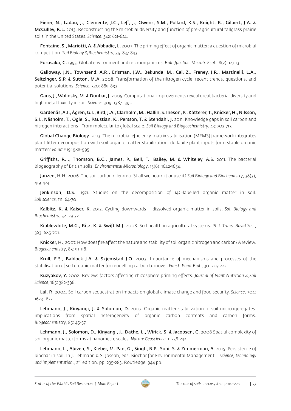Fierer, N., Ladau, J., Clemente, J.C., Leff, J., Owens, S.M., Pollard, K.S., Knight, R., Gilbert, J.A. & McCulley, R.L. 2013. Reconstructing the microbial diversity and function of pre-agricultural tallgrass prairie soils in the United States. *Science*, 342: 621-624.

Fontaine, S., Mariotti, A. & Abbadie, L. 2003. The priming effect of organic matter: a question of microbial competition. *Soil Biology & Biochemistry*, 35: 837-843.

Furusaka, C. 1993. Global environment and microorganisms. *Bull. Jpn. Soc. Microb. Ecol*., 8(2): 127-131.

Galloway, J.N., Townsend, A.R., Erisman, J.W., Bekunda, M., Cai, Z., Freney, J.R., Martinelli, L.A., Seitzinger, S.P. & Sutton, M.A. 2008. Transformation of the nitrogen cycle: recent trends, questions, and potential solutions. *Science*, 320: 889-892.

Gans, J., Wolinsky, M. & Dunbar, J. 2005. Computational improvements reveal great bacterial diversity and high metal toxicity in soil. *Science*, 309: 1387-1390.

Gärdenäs, A.I., Ågren, G.I., Bird, J.A., Clarholm, M., Hallin, S. Ineson, P., Kätterer, T., Knicker, H., Nilsson, S.I., Näsholm, T., Ogle, S., Paustian, K., Persson, T. & Stendahl, J. 2011. Knowledge gaps in soil carbon and nitrogen interactions - From molecular to global scale. *Soil Biology and Biogeochemistry*, 43: 702-717.

Global Change Biology. 2013. The microbial efficiency-matrix stabilisation (MEMS) framework integrates plant litter decomposition with soil organic matter stabilization: do labile plant inputs form stable organic matter? *Volume* 19: 988-995.

Griffiths, R.I., Thomson, B.C., James, P., Bell, T., Bailey, M. & Whiteley, A.S. 2011. The bacterial biogeography of British soils. *Environmental Microbiology*, 13(6): 1642-1654.

Janzen, H.H. 2006. The soil carbon dilemma: Shall we hoard it or use it? *Soil Biology and Biochemistry*, 38(3), 419-424.

Jenkinson, D.S., 1971. Studies on the decomposition of 14C-labelled organic matter in soil. *Soil science*, 111: 64-70.

Kalbitz, K. & Kaiser, K. 2012. Cycling downwards – dissolved organic matter in soils. *Soil Biology and Biochemistry*, 52: 29-32.

Kibblewhite, M.G., Ritz, K. & Swift M.J. 2008. Soil health in agricultural systems. *Phil. Trans. Royal Soc*., 363: 685-701.

Knicker, H., 2007. How does fire affect the nature and stability of soil organic nitrogen and carbon? A review. *Biogeochemistry*, 85: 91-118.

Krull, E.S., Baldock J.A. & Skjemstad J.O. 2003. Importance of mechanisms and processes of the stabilisation of soil organic matter for modelling carbon turnover. *Funct. Plant Biol*., 30: 207-222.

Kuzyakov, Y. 2002. Review: factors affecting rhizosphere priming effects. *Journal of Plant Nutrition & Soil Science*, 165: 382-396.

Lal, R. 2004. Soil carbon sequestration impacts on global climate change and food security. *Science*, 304: 1623-1627.

Lehmann, J., Kinyangi, J. & Solomon, D. 2007. Organic matter stabilization in soil microaggregates: implications from spatial heterogeneity of organic carbon contents and carbon forms. *Biogeochemistry*, 85: 45-57.

Lehmann, J., Solomon, D., Kinyangi, J., Dathe, L., Wirick, S. & Jacobsen, C. 2008 Spatial complexity of soil organic matter forms at nanometre scales. *Nature Geoscience*, 1: 238-242.

Lehmann, L., Abiven, S., Kleber, M. Pan, G., Singh, B.P., Sohi, S. & Zimmerman, A. 2015. Persistence of biochar in soil. In J. Lehmann & S. Joseph, eds. Biochar for Environmental Management – *Science, technology and implementation*., 2nd edition. pp. 235-283. Routledge. 944 pp.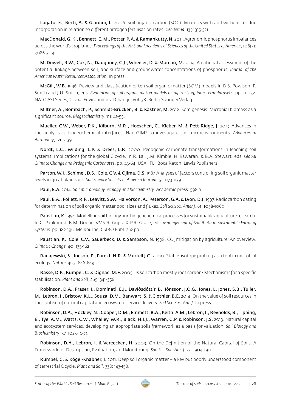Lugato, E., Berti, A. & Giardini, L. 2006. Soil organic carbon (SOC) dynamics with and without residue incorporation in relation to different nitrogen fertilisation rates. *Geoderma*, 135: 315-321.

MacDonald, G. K., Bennett, E. M., Potter, P. A. & Ramankutty, N. 2011. Agronomic phosphorus imbalances across the world's croplands. *Proceedings of the National Academy of Sciences of the United States of America*, 108(7): 3086-3091.

McDowell, R.W., Cox, N., Daughney, C.J., Wheeler, D. & Moreau, M. 2014. A national assessment of the potential linkage between soil, and surface and groundwater concentrations of phosphorus. *Journal of the American Water Resources Association*. In press.

McGill, W.B. 1996. Review and classification of ten soil organic matter (SOM) models In D.S. Powlson, P. Smith and J.U. Smith, eds. *Evaluation of soil organic matter models using existing, long-term datasets*. pp. 111-132. NATO ASI Series, Global Environmental Change, Vol. 38. Berlin Springer Verlag.

Miltner, A., Bombach, P., Schmidt-Brücken, B. & Kästner, M. 2012. Som genesis: Microbial biomass as a significant source. *Biogeochemistry*, 111: 41-55.

Mueller, C.W., Weber, P.K., Kilburn, M.R., Hoeschen, C., Kleber, M. & Pett-Ridge, J. 2013. Advances in the analysis of biogeochemical interfaces: NanoSIMS to investigate soil microenvironments. *Advances in Agronomy*, 121: 2-39.

Nordt, L.C., Wilding, L.P. & Drees, L.R. 2000. Pedogenic carbonate transformations in leaching soil systems: Implications for the global C cycle. In R. Lal, J.M. Kimble, H. Eswaran, & B.A. Stewart, eds. *Global Climate Change and Pedogenic Carbonates*. pp. 43-64. USA, FL, Boca Raton, Lewis Publishers.

Parton, W.J., Schimel, D.S., Cole, C.V. & Ojima, D.S. 1987. Analyses of factors controlling soil organic matter levels in great plain soils. *Soil Science Society of America Journal*, 51: 1173-1179.

Paul, E.A. 2014. *Soil microbiology, ecology and biochemistry*. Academic press. 598 p.

Paul, E.A., Follett, R.F., Leavitt, S.W., Halvorson, A., Peterson, G.A. & Lyon, D.J. 1997. Radiocarbon dating for determination of soil organic matter pool sizes and fluxes. *Soil* <Sci.Soc>*. Amer.J*. 61: 1058-1067.

Paustian, K. 1994. Modelling soil biology and biogeochemical processes for sustainable agriculture research. In C. Pankhurst, B.M. Doube, V.V.S.R. Gupta & P.R. Grace, eds. *Management of Soil Biota in Sustainable Farming Systems*. pp. 182-196. Melbourne, CSIRO Publ. 262 pp.

**Paustian, K., Cole, C.V., Sauerbeck, D. & Sampson, N.** 1998. CO $_{_2}$  mitigation by agriculture: An overview. *Climatic Change*, 40: 135-162.

Radajewski, S., Ineson, P., Parekh N.R. & Murrell J.C. 2000. Stable-isotope probing as a tool in microbial ecology. *Nature*, 403: 646-649.

Rasse, D.P., Rumpel, C. & Dignac, M.F. 2005 : Is soil carbon mostly root carbon? Mechanisms for a specific stabilisation. *Plant and Soil*, 269: 341-356.

Robinson, D.A., Fraser, I., Dominati, E.J., Davíðsdóttir, B., Jónsson, J.O.G., Jones, L. Jones, S.B., Tuller, M., Lebron, I., Bristow, K.L., Souza, D.M., Banwart, S. & Clothier, B.E. 2014. On the value of soil resources in the context of natural capital and ecosystem service delivery. *Soil Sci. Soc. Am. J.* In press.

Robinson, D.A., Hockley, N., Cooper, D.M., Emmett, B.A., Keith, A.M., Lebron, I., Reynolds, B., Tipping, E., Tye, A.M., Watts, C.W., Whalley, W.R., Black, H.I.J., Warren, G.P. & Robinson, J.S. 2013. Natural capital and ecosystem services, developing an appropriate soils framework as a basis for valuation. *Soil Biology and Biochemistry*, 57: 1023-1033.

Robinson, D.A., Lebron, I. & Vereecken, H. 2009. On the Definition of the Natural Capital of Soils: A Framework for Description, Evaluation, and Monitoring. *Soil Sci. Soc. Am. J.* 73: 1904-1911.

Rumpel, C. & Kögel-Knabner, I. 2011. Deep soil organic matter – a key but poorly understood component of terrestrial C cycle. *Plant and Soil*, 338: 143-158.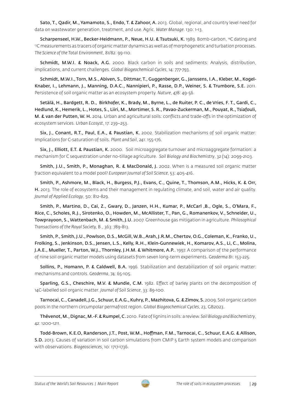Sato, T., Qadir, M., Yamamoto, S., Endo, T. & Zahoor, A. 2013. Global, regional, and country level need for data on wastewater generation, treatment, and use. Agric. *Water Manage*. 130: 1-13.

Scharpenseel, H.W., Becker-Heidmann, P., Neue, H.U. & Tsutsuki, K. 1989. Bomb-carbon, 14C dating and <sup>13</sup>C measurements as tracers of organic matter dynamics as well as of morphogenetic and turbation processes. *The Science of the Total Environment*, 81/82: 99-110.

Schmidt, M.W.I. & Noack, A.G. 2000. Black carbon in soils and sediments: Analysis, distribution, implications, and current challenges. *Global Biogeochemical Cycles*, 14: 777-793.

Schmidt, M.W.I., Torn, M.S., Abiven, S., Dittmar, T., Guggenberger, G., Janssens, I.A., Kleber, M., Kogel-Knaber, I., Lehmann, J., Manning, D.A.C., Nannipieri, P., Rasse, D.P., Weiner, S. & Trumbore, S.E. 2011. Persistence of soil organic matter as an ecosystem property. *Nature*, 478: 49-56.

Setälä, H., Bardgett, R. D., Birkhofer, K., Brady, M., Byrne, L., de Ruiter, P. C., de Vries, F. T., Gardi, C., Hedlund, K., Hemerik, L., Hotes, S., Liiri, M., Mortimer, S. R., Pavao-Zuckerman, M., Pouyat, R., Tsiafouli, M. & van der Putten, W. H. 2014. Urban and agricultural soils: conflicts and trade-offs in the optimization of ecosystem services. *Urban Ecosyst*, 17: 239–253.

Six, J., Conant, R.T., Paul, E.A., & Paustian, K. 2002. Stabilization mechanisms of soil organic matter: Implications for C-saturation of soils. *Plant and Soil*, 241: 155-176.

Six, J., Elliott, E.T. & Paustian, K. 2000. Soil microaggregate turnover and microaggregate formation: a mechanism for C sequestration under no-tillage agriculture. *Soil Biology and Biochemistry*, 32 (14): 2099-2103.

Smith, J.U., Smith, P., Monaghan, R. & MacDonald, J. 2002. When is a measured soil organic matter fraction equivalent to a model pool? *European Journal of Soil Science*, 53: 405-416.

Smith, P., Ashmore, M., Black, H., Burgess, P.J., Evans, C., Quine, T., Thomson, A.M., Hicks, K. & Orr, H. 2013. The role of ecosystems and their management in regulating climate, and soil, water and air quality. *Journal of Applied Ecology*, 50: 812-829.

Smith, P., Martino, D., Cai, Z., Gwary, D., Janzen, H.H., Kumar, P., McCarl ,B., Ogle, S., O'Mara, F., Rice, C., Scholes, R.J., Sirotenko, O., Howden, M., McAllister, T., Pan, G., Romanenkov, V., Schneider, U., Towprayoon, S., Wattenbach, M. & Smith, J.U. 2007. Greenhouse gas mitigation in agriculture. *Philosophical Transactions of the Royal Society,* B., 363: 789-813.

Smith, P., Smith, J.U., Powlson, D.S., McGill, W.B., Arah, J.R.M., Chertov, O.G., Coleman, K., Franko, U., Frolking, S., Jenkinson, D.S., Jensen, L.S., Kelly, R.H., Klein-Gunnewiek, H., Komarov, A.S., Li, C., Molina, J.A.E., Mueller, T., Parton, W.J., Thornley, J.H.M. & Whitmore, A.P., 1997. A comparison of the performance of nine soil organic matter models using datasets from seven long-term experiments. *Geoderma* 81: 153-225.

Sollins, P., Homann, P. & Caldwell, B.A. 1996. Stabilization and destabilization of soil organic matter: mechanisms and controls. *Geoderma*, 74: 65-105.

Sparling, G.S., Cheschire, M.V. & Mundie, C.M. 1982. Effect of barley plants on the decomposition of 14C-labelled soil organic matter. *Journal of Soil Science*, 33: 89-100.

Tarnocai, C., Canadell, J.G., Schuur, E.A.G., Kuhry, P., Mazhitova, G. & Zimov, S. 2009. Soil organic carbon pools in the northern circumpolar permafrost region. *Global Biogeochemical Cycles*, 23, GB2023.

Thévenot, M., Dignac, M.-F. & Rumpel, C. 2010. Fate of lignins in soils: a review. *Soil Biology and Biochemistry*, 42: 1200-1211.

Todd-Brown, K.E.O, Randerson, J.T., Post, W.M., Hoffman, F.M., Tarnocai, C., Schuur, E.A.G. & Allison, S.D. 2013. Causes of variation in soil carbon simulations from CMIP 5 Earth system models and comparison with observations. *Biogeosciences*, 10: 1717-1736.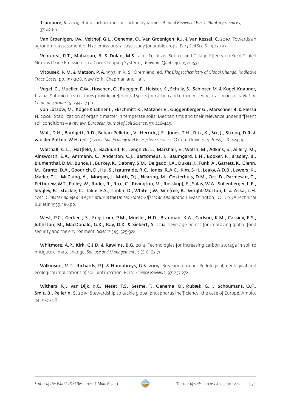Trumbore, S. 2009. Radiocarbon and soil carbon dynamics. *Annual Review of Earth Plantary Sciences*, 37: 47-66.

Van Groenigen, J.W., Velthof, G.L., Oenema, O., Van Groenigen, K.J. & Van Kessel, C. 2010. Towards an agronomic assessment of N20 emissions: a case study for arable crops. *Eur J Soil Sci*, 61: 903-913.

Venterea, R.T., Maharjan, B. & Dolan, M.S. 2011. Fertilizer Source and Tillage Effects on Yield-Scaled Nitrous Oxide Emissions in a Corn Cropping System. *J. Environ. Qual*., 40: 1521-1531.

Vitousek, P. M. & Matson, P. A. 1993. In R. S. Oremland, ed. *The Biogeochemistry of Global Change: Radiative Trace Gases.* pp. 193-208. New York, Chapman and Hall.

Vogel, C., Mueller, C.W., Hoschen, C., Buegger, F., Heister, K., Schulz, S., Schloter, M. & Kogel-Knabner, I. 2014. Submicron structures provide preferential spots for carbon and nitrogen sequestration in soils. *Nature Communications*, 5: 2947. 7 pp.

von Lützow, M., Kögel-Knabner I., Ekschmitt K., Matzner E., Guggenberger G., Marschner B. & Flessa H. 2006. Stabilization of organic matter in temperate soils: Mechanisms and their relevance under different soil conditions – a review. *European Journal of Soil Science*, 57: 426-445.

Wall, D.H., Bardgett, R.D., Behan-Pelletier, V., Herrick, J.E., Jones, T.H., Ritz, K., Six, J., Strong, D.R. & van der Putten, W.H. (eds.). 2012. *Soil Ecology and Ecosystem services*. Oxford University Press, UK. 424 pp.

Walthall, C.L., Hatfield, J., Backlund, P., Lengnick. L., Marshall, E., Walsh, M., Adkins, S., Aillery, M., Ainsworth, E.A., Ammann, C., Anderson, C.J., Bartomeus, I., Baumgard, L.H., Booker. F., Bradley, B,, Blumenthal, D.M., Bunce, J., Burkey, K., Dabney, S.M., Delgado, J.A., Dukes, J., Funk, A., Garrett, K., Glenn, M., Grantz, D.A., Goodrich, D., Hu, S., Izaurralde, R.C., Jones, R.A.C., Kim, S-H., Leaky, A.D.B., Lewers, K., Mader, T.L., McClung, A., Morgan, J., Muth, D.J., Nearing, M., Oosterhuis, D.M., Ort, D., Parmesan, C., Pettigrew, W.T., Polley, W., Rader, R., Rice, C., Rivington, M., Rosskopf, E., Salas, W.A., Sollenberger, L.E., Srygley, R., Stöckle, C., Takle, E.S., Timlin, D., White, J.W., Winfree, R., Wright-Morton, L. & Ziska, L.H. 2012. *Climate Change and Agriculture in the United States: Effects and Adaptation*. Washington, DC, USDA Technical Bulletin 1935. 186 pp.

West, P.C., Gerber, J.S., Engstrom, P.M., Mueller, N.D., Brauman, K.A., Carlson, K.M., Cassidy, E.S., Johnston, M., MacDonald, G.K., Ray, D.K. & Siebert, S. 2014. Leverage points for improving global food security and the environment. *Science* 345: 325-328

Whitmore, A.P., Kirk, G.J.D. & Rawlins, B.G. 2014. Technologies for increasing carbon storage in soil to mitigate climate change. *Soil use and Management*, 31(S 1): 62-71.

Wilkinson, M.T., Richards, P.J. & Humphreys, G.S. 2009. Breaking ground: Pedological, geological and ecological implications of soil biotrubation. *Earth Science Reviews*, 97: 257-272.

Withers, P.J., van Dijk, K.C., Neset, T.S., Sesme, T., Oenema, O., Rubæk, G.H., Schoumans, O.F., Smit, B., Pellerin, S. 2015. Stewardship to tackle global phosphorus inefficiency: the case of Europe. Ambio, 44: 193-206.